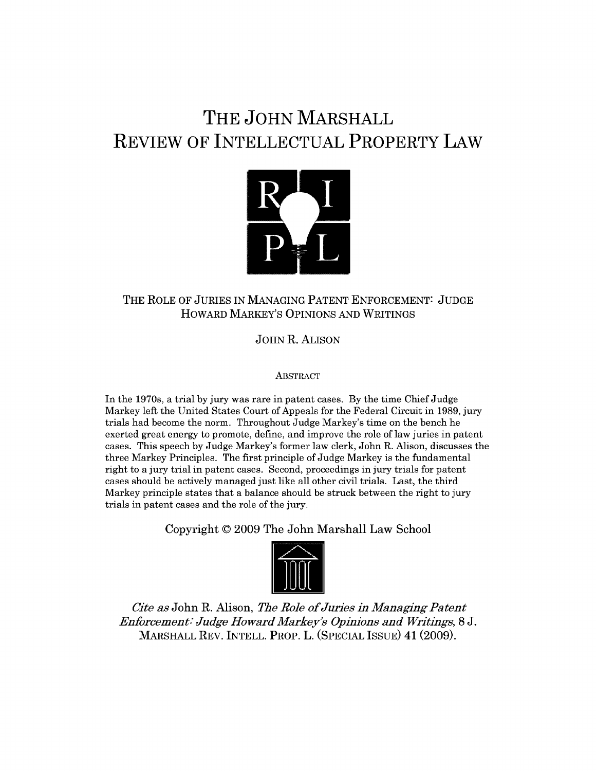## **THE JOHN MARSHALL REVIEW OF INTELLECTUAL PROPERTY LAW**



## THE ROLE OF JURIES IN MANAGING PATENT ENFORCEMENT: JUDGE HOWARD MARKEY'S OPINIONS AND WRITINGS

JOHN R. ALISON

**ABSTRACT** 

In the 1970s, a trial by jury was rare in patent cases. By the time Chief Judge Markey left the United States Court of Appeals for the Federal Circuit in 1989, jury trials had become the norm. Throughout Judge Markey's time on the bench he exerted great energy to promote, define, and improve the role of law juries in patent cases. This speech by Judge Markey's former law clerk, John R. Alison, discusses the three Markey Principles. The first principle of Judge Markey is the fundamental right to a jury trial in patent cases. Second, proceedings in jury trials for patent cases should be actively managed just like all other civil trials. Last, the third Markey principle states that a balance should be struck between the right to jury trials in patent cases and the role of the jury.

Copyright **© 2009** The John Marshall Law School



*Cite as* John R. Alison, *The Role of Juries in Managing Patent Enforcement: Judge Howard Markey's Opinions and Writings,* 8 J. MARSHALL REV. INTELL. PROP. L. (SPECIAL ISSUE) 41 (2009).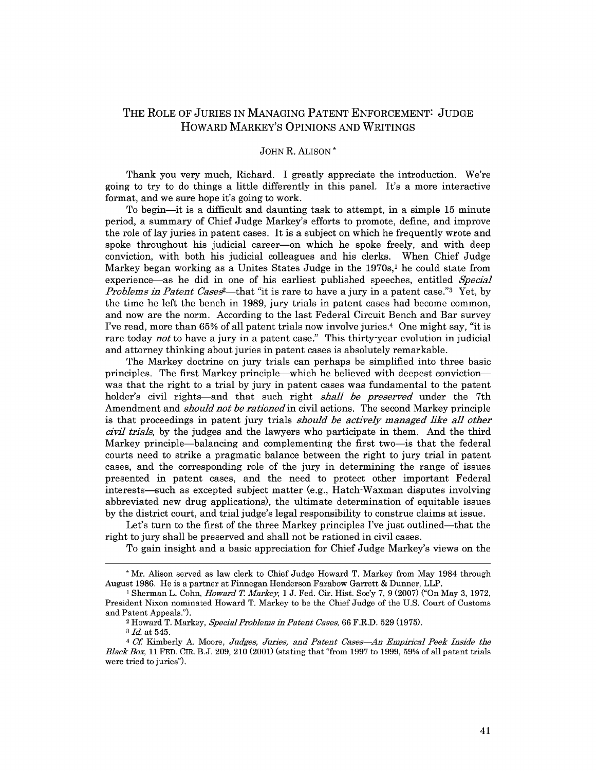## THE ROLE OF JURIES IN MANAGING PATENT ENFORCEMENT: JUDGE HOWARD MARKEY'S OPINIONS AND WRITINGS

## JOHN R. ALISON \*

Thank you very much, Richard. I greatly appreciate the introduction. We're going to try to do things a little differently in this panel. It's a more interactive format, and we sure hope it's going to work.

To begin-it is a difficult and daunting task to attempt, in a simple 15 minute period, a summary of Chief Judge Markey's efforts to promote, define, and improve the role of lay juries in patent cases. It is a subject on which he frequently wrote and spoke throughout his judicial career-on which he spoke freely, and with deep conviction, with both his judicial colleagues and his clerks. When Chief Judge Markey began working as a Unites States Judge in the  $1970s<sub>i</sub>$  he could state from experience-as he did in one of his earliest published speeches, entitled *Special Problems in Patent Cases*<sup>2</sup>—that "it is rare to have a jury in a patent case."<sup>3</sup> Yet, by the time he left the bench in 1989, jury trials in patent cases had become common, and now are the norm. According to the last Federal Circuit Bench and Bar survey I've read, more than 65% of all patent trials now involve juries.4 One might say, "it is rare today *not* to have a jury in a patent case." This thirty-year evolution in judicial and attorney thinking about juries in patent cases is absolutely remarkable.

The Markey doctrine on jury trials can perhaps be simplified into three basic principles. The first Markey principle-which he believed with deepest convictionwas that the right to a trial by jury in patent cases was fundamental to the patent holder's civil rights-and that such right *shall be preserved* under the 7th Amendment and *should not be rationed* in civil actions. The second Markey principle is that proceedings in patent jury trials *should be actively managed like all other civil trials,* by the judges and the lawyers who participate in them. And the third Markey principle-balancing and complementing the first two-is that the federal courts need to strike a pragmatic balance between the right to jury trial in patent cases, and the corresponding role of the jury in determining the range of issues presented in patent cases, and the need to protect other important Federal interests-such as excepted subject matter (e.g., Hatch-Waxman disputes involving abbreviated new drug applications), the ultimate determination of equitable issues by the district court, and trial judge's legal responsibility to construe claims at issue.

Let's turn to the first of the three Markey principles I've just outlined—that the right to jury shall be preserved and shall not be rationed in civil cases.

To gain insight and a basic appreciation for Chief Judge Markey's views on the

**<sup>\*</sup>** Mr. Alison served as law clerk to Chief Judge Howard T. Markey from May 1984 through August 1986. He is a partner at Finnegan Henderson Farabow Garrett & Dunner, LLP.

<sup>1</sup> Sherman L. Cohn, *Howard* T *Markey,* 1 J. Fed. Cir. Hist. Soc'y 7, 9 (2007) ("On May 3, 1972, President Nixon nominated Howard T. Markey to be the Chief Judge of the U.S. Court of Customs and Patent Appeals.").

<sup>2</sup> Howard T. Markey, *Special Problems in Patent Cases,* 66 F.R.D. 529 (1975).

**<sup>3</sup>** *Id.* at 545.

<sup>4</sup>*Cf* Kimberly A. Moore, *Judges, Juries, and Patent Cases-An Empirical Peek Inside the BlackBox,* 11 FED. CIR. B.J. 209, 210 (2001) (stating that "from 1997 to 1999, 59% of all patent trials were tried to juries").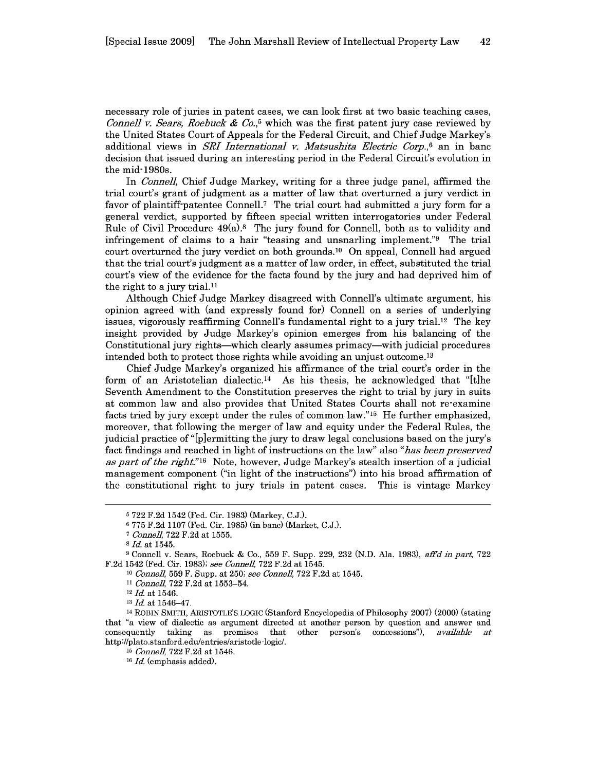necessary role of juries in patent cases, we can look first at two basic teaching cases, *Connell v. Sears, Roebuck & Co.*<sup>5</sup> which was the first patent jury case reviewed by the United States Court of Appeals for the Federal Circuit, and Chief Judge Markey's additional views in *SRI International v. Matsushita Electric Corp.,6* an in banc decision that issued during an interesting period in the Federal Circuit's evolution in the mid-1980s.

In *Conne]],* Chief Judge Markey, writing for a three judge panel, affirmed the trial court's grant of judgment as a matter of law that overturned a jury verdict in favor of plaintiff-patentee Connell.<sup>7</sup> The trial court had submitted a jury form for a general verdict, supported by fifteen special written interrogatories under Federal Rule of Civil Procedure  $49(a).8$  The jury found for Connell, both as to validity and infringement of claims to a hair "teasing and unsnarling implement."9 The trial court overturned the jury verdict on both grounds.'0 On appeal, Connell had argued that the trial court's judgment as a matter of law order, in effect, substituted the trial court's view of the evidence for the facts found by the jury and had deprived him of the right to a jury trial. $11$ 

Although Chief Judge Markey disagreed with Connell's ultimate argument, his opinion agreed with (and expressly found for) Connell on a series of underlying issues, vigorously reaffirming Connell's fundamental right to a jury trial.12 The key insight provided by Judge Markey's opinion emerges from his balancing of the Constitutional jury rights-which clearly assumes primacy-with judicial procedures intended both to protect those rights while avoiding an unjust outcome.<sup>13</sup>

Chief Judge Markey's organized his affirmance of the trial court's order in the form of an Aristotelian dialectic.<sup>14</sup> As his thesis, he acknowledged that "[t]he Seventh Amendment to the Constitution preserves the right to trial by jury in suits at common law and also provides that United States Courts shall not re-examine facts tried by jury except under the rules of common law."15 He further emphasized, moreover, that following the merger of law and equity under the Federal Rules, the judicial practice of "[p]ermitting the jury to draw legal conclusions based on the jury's fact findings and reached in light of instructions on the law" also *"has been preserved as part of the right."16* Note, however, Judge Markey's stealth insertion of a judicial management component ("in light of the instructions") into his broad affirmation of the constitutional right to jury trials in patent cases. This is vintage Markey

**<sup>5</sup>** 722 F.2d 1542 (Fed. Cir. 1983) (Markey, C.J.).

**<sup>6</sup>** 775 F.2d 1107 (Fed. Cir. 1985) (in banc) (Market, C.J.).

**<sup>7</sup>***Connell,* 722 F.2d at 1555.

**<sup>8</sup>** *Id.* at 1545.

**<sup>9</sup>**Connell v. Sears, Roebuck & Co., 559 F. Supp. 229, 232 (N.D. Ala. 1983), affd *in part,* 722 F.2d 1542 (Fed. Cir. 1983); *see Connell,* 722 F.2d at 1545.

<sup>10</sup>*Connel,* 559 F. Supp. at 250; *see Connell,* 722 F.2d at 1545.

<sup>11</sup> *Connel,* 722 F.2d at 1553-54.

<sup>&</sup>lt;sup>12</sup> *Id.* at 1546.

**<sup>13</sup>** *Id.* at 1546-47.

<sup>14</sup> ROBIN SMITH, ARISTOTLE'S LOGIC (Stanford Encyclopedia of Philosophy 2007) (2000) (stating that "a view of dialectic as argument directed at another person by question and answer and consequently taking as premises that other person's concessions"), *available at* http ://plato.stanford.edu/entries/aristotle-logic/.

<sup>15</sup> *Connell,* 722 F.2d at 1546.

<sup>16</sup> *Id.* (emphasis added).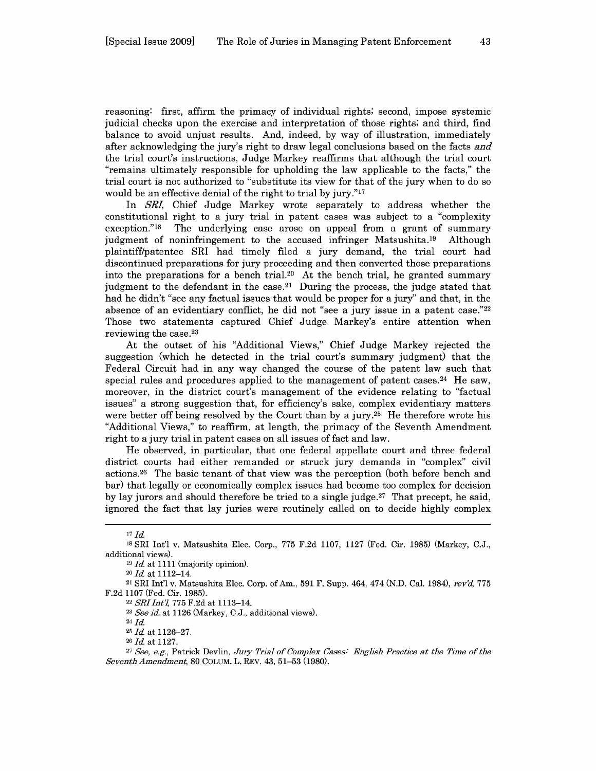reasoning: first, affirm the primacy of individual rights; second, impose systemic judicial checks upon the exercise and interpretation of those rights; and third, find balance to avoid unjust results. And, indeed, by way of illustration, immediately after acknowledging the jury's right to draw legal conclusions based on the facts *and* the trial court's instructions, Judge Markey reaffirms that although the trial court "remains ultimately responsible for upholding the law applicable to the facts," the trial court is not authorized to "substitute its view for that of the jury when to do so would be an effective denial of the right to trial by jury."<sup>17</sup>

In *SRI,* Chief Judge Markey wrote separately to address whether the constitutional right to a jury trial in patent cases was subject to a "complexity exception.<sup>"18</sup> The underlying case arose on appeal from a grant of summary judgment of noninfringement to the accused infringer Matsushita. 19 Although plaintiff/patentee SRI had timely filed a jury demand, the trial court had discontinued preparations for jury proceeding and then converted those preparations into the preparations for a bench trial.<sup>20</sup> At the bench trial, he granted summary judgment to the defendant in the case.<sup>21</sup> During the process, the judge stated that had he didn't "see any factual issues that would be proper for a jury" and that, in the absence of an evidentiary conflict, he did not "see a jury issue in a patent case."<sup>22</sup> Those two statements captured Chief Judge Markey's entire attention when reviewing the case.<sup>23</sup>

At the outset of his "Additional Views," Chief Judge Markey rejected the suggestion (which he detected in the trial court's summary judgment) that the Federal Circuit had in any way changed the course of the patent law such that special rules and procedures applied to the management of patent cases.<sup>24</sup> He saw, moreover, in the district court's management of the evidence relating to "factual issues" a strong suggestion that, for efficiency's sake, complex evidentiary matters were better off being resolved by the Court than by a jury.<sup>25</sup> He therefore wrote his "Additional Views," to reaffirm, at length, the primacy of the Seventh Amendment right to a jury trial in patent cases on all issues of fact and law.

He observed, in particular, that one federal appellate court and three federal district courts had either remanded or struck jury demands in "complex" civil actions. 26 The basic tenant of that view was the perception (both before bench and bar) that legally or economically complex issues had become too complex for decision by lay jurors and should therefore be tried to a single judge.<sup>27</sup> That precept, he said, ignored the fact that lay juries were routinely called on to decide highly complex

24 **Id.**

**25** *Id.* at 1126-27.

**<sup>26</sup>**Id. at 1127.

*<sup>17</sup>***Id.**

**<sup>18</sup>**SRI Int'l v. Matsushita Elec. Corp., 775 F.2d 1107, 1127 (Fed. Cir. 1985) (Markey, C.J., additional views).

**<sup>19</sup>***Id.* at 1111 (majority opinion).

**<sup>20</sup>***Id.* at 1112-14.

<sup>21</sup> SRI Int'l v. Matsushita Elec. Corp. of Am., 591 F. Supp. 464, 474 (N.D. Cal. 1984), *rev'd,* 775 F.2d 1107 (Fed. Cir. 1985).

<sup>22</sup> *SRJI-ntl,* 775 F.2d at 1113-14.

**<sup>23</sup>** *See id.* at 1126 (Markey, C.J., additional views).

**<sup>27</sup>***See, e.g.,* Patrick Devlin, *Jury Trial of Complex Cases: English Practice at the Time of the Seventh Amendment,* 80 COLUM. L. REV. 43, 51-53 (1980).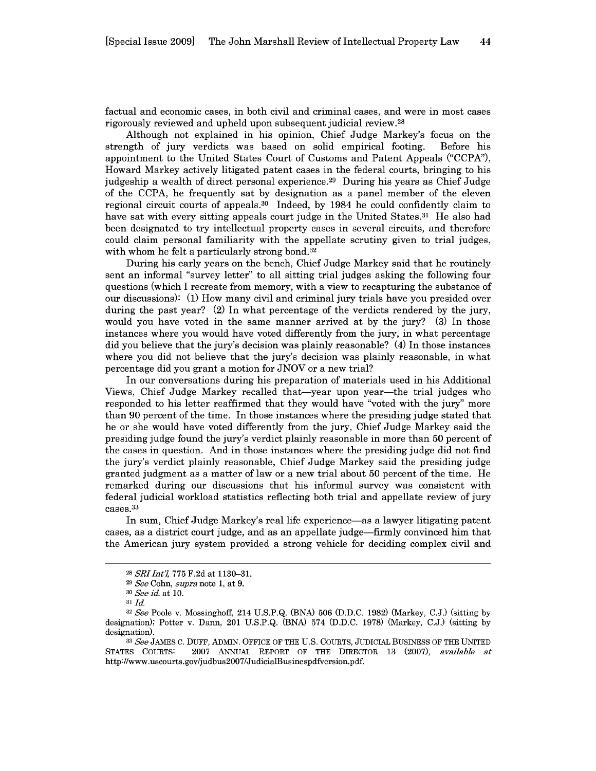factual and economic cases, in both civil and criminal cases, and were in most cases rigorously reviewed and upheld upon subsequent judicial review.<sup>28</sup>

Although not explained in his opinion, Chief Judge Markey's focus on the strength of jury verdicts was based on solid empirical footing. Before his appointment to the United States Court of Customs and Patent Appeals ("CCPA"), Howard Markey actively litigated patent cases in the federal courts, bringing to his judgeship a wealth of direct personal experience. 29 During his years as Chief Judge of the CCPA, he frequently sat by designation as a panel member of the eleven regional circuit courts of appeals. 30 Indeed, by 1984 he could confidently claim to have sat with every sitting appeals court judge in the United States.<sup>31</sup> He also had been designated to try intellectual property cases in several circuits, and therefore could claim personal familiarity with the appellate scrutiny given to trial judges, with whom he felt a particularly strong bond.<sup>32</sup>

During his early years on the bench, Chief Judge Markey said that he routinely sent an informal "survey letter" to all sitting trial judges asking the following four questions (which I recreate from memory, with a view to recapturing the substance of our discussions): (1) How many civil and criminal jury trials have you presided over during the past year? (2) In what percentage of the verdicts rendered by the jury, would you have voted in the same manner arrived at by the jury? (3) In those instances where you would have voted differently from the jury, in what percentage did you believe that the jury's decision was plainly reasonable? (4) In those instances where you did not believe that the jury's decision was plainly reasonable, in what percentage did you grant a motion for JNOV or a new trial?

In our conversations during his preparation of materials used in his Additional Views, Chief Judge Markey recalled that-year upon year-the trial judges who responded to his letter reaffirmed that they would have "voted with the jury" more than 90 percent of the time. In those instances where the presiding judge stated that he or she would have voted differently from the jury, Chief Judge Markey said the presiding judge found the jury's verdict plainly reasonable in more than 50 percent of the cases in question. And in those instances where the presiding judge did not find the jury's verdict plainly reasonable, Chief Judge Markey said the presiding judge granted judgment as a matter of law or a new trial about 50 percent of the time. He remarked during our discussions that his informal survey was consistent with federal judicial workload statistics reflecting both trial and appellate review of jury cases.<sup>33</sup>

In sum, Chief Judge Markey's real life experience—as a lawyer litigating patent cases, as a district court judge, and as an appellate judge-firmly convinced him that the American jury system provided a strong vehicle for deciding complex civil and

**<sup>28</sup>***SRIIntl,* 775 F.2d at 1130-31.

**<sup>29</sup>***See* Cohn, *supra* note 1, at 9.

*<sup>30</sup>See id.* at 10.

**<sup>31</sup>** *Jd*

**<sup>32</sup>***See* Poole v. Mossinghoff, 214 U.S.P.Q. (BNA) 506 (D.D.C. 1982) (Markey, C.J.) (sitting by designation); Potter v. Dann, 201 U.S.P.Q. (BNA) 574 (D.D.C. 1978) (Markey, C.J.) (sitting by designation).

*<sup>33</sup>See* JAMES C. DUFF, ADMIN. OFFICE OF THE U.S. COURTS, JUDICIAL BUSINESS OF THE UNITED STATES COURTS: 2007 ANNUAL REPORT OF THE DIRECTOR 13 (2007), *available at* http ://www.uscourts.gov/judbus2007/JudicialBusinespdfversion.pdf.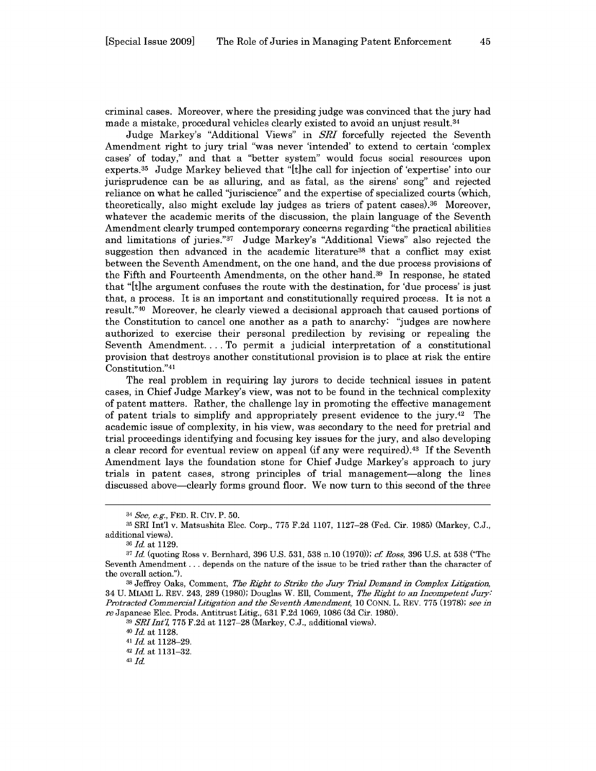criminal cases. Moreover, where the presiding judge was convinced that the jury had made a mistake, procedural vehicles clearly existed to avoid an unjust result. $34$ 

Judge Markey's "Additional Views" in *SRI* forcefully rejected the Seventh Amendment right to jury trial "was never 'intended' to extend to certain 'complex cases' of today," and that a "better system" would focus social resources upon experts.35 Judge Markey believed that "[t]he call for injection of 'expertise' into our jurisprudence can be as alluring, and as fatal, as the sirens' song" and rejected reliance on what he called "juriscience" and the expertise of specialized courts (which, theoretically, also might exclude lay judges as triers of patent cases).36 Moreover, whatever the academic merits of the discussion, the plain language of the Seventh Amendment clearly trumped contemporary concerns regarding "the practical abilities and limitations of juries."<sup>37</sup> Judge Markey's "Additional Views" also rejected the suggestion then advanced in the academic literature<sup>38</sup> that a conflict may exist between the Seventh Amendment, on the one hand, and the due process provisions of the Fifth and Fourteenth Amendments, on the other hand.<sup>39</sup> In response, he stated that "[t]he argument confuses the route with the destination, for 'due process' is just that, a process. It is an important and constitutionally required process. It is not a result."40 Moreover, he clearly viewed a decisional approach that caused portions of the Constitution to cancel one another as a path to anarchy: "judges are nowhere authorized to exercise their personal predilection by revising or repealing the Seventh Amendment.... To permit a judicial interpretation of a constitutional provision that destroys another constitutional provision is to place at risk the entire .<br>Constitution."4

The real problem in requiring lay jurors to decide technical issues in patent cases, in Chief Judge Markey's view, was not to be found in the technical complexity of patent matters. Rather, the challenge lay in promoting the effective management of patent trials to simplify and appropriately present evidence to the jury.42 The academic issue of complexity, in his view, was secondary to the need for pretrial and trial proceedings identifying and focusing key issues for the jury, and also developing a clear record for eventual review on appeal (if any were required).<sup>43</sup> If the Seventh Amendment lays the foundation stone for Chief Judge Markey's approach to jury trials in patent cases, strong principles of trial management-along the lines discussed above-clearly forms ground floor. We now turn to this second of the three

<sup>34</sup> See, e.g., **FED.** R. Civ. P. **50.**

**<sup>35</sup>** SRI Int'l v. Matsushita Elec. Corp., 775 F.2d 1107, 1127-28 (Fed. Cir. 1985) (Markey, C.J., additional views).

**<sup>36</sup>***Id.* at 1129.

**<sup>37</sup>** *Id.* (quoting Ross v. Bernhard, 396 U.S. 531, 538 n.10 (1970)); *ci Ross,* 396 U.S. at 538 ("The Seventh Amendment **...** depends on the nature of the issue to be tried rather than the character of the overall action.").

**<sup>38</sup>**Jeffrey Oaks, Comment, *The Right to Strike the Jury Trial Demand in Complex Litigation,* 34 U. MIAMI L. REV. 243, 289 (1980); Douglas W. Ell, Comment, *The Right to an Incompetent* Jury: *Protracted Commercial Litigation and the Seventh Amendment,* 10 CONN. L. REV. 775 (1978); *see in re* Japanese Elec. Prods. Antitrust Litig., 631 F.2d 1069, 1086 (3d Cir. 1980).

<sup>39</sup> **SRI Int'l, 775 F.2d at 1127–28** (Markey, C.J., additional views).

**<sup>40</sup>***Id.* at 1128. *41 Id.* at 1128-29. <sup>42</sup>Id. at **1131-32.**

**<sup>43</sup>** *Id.*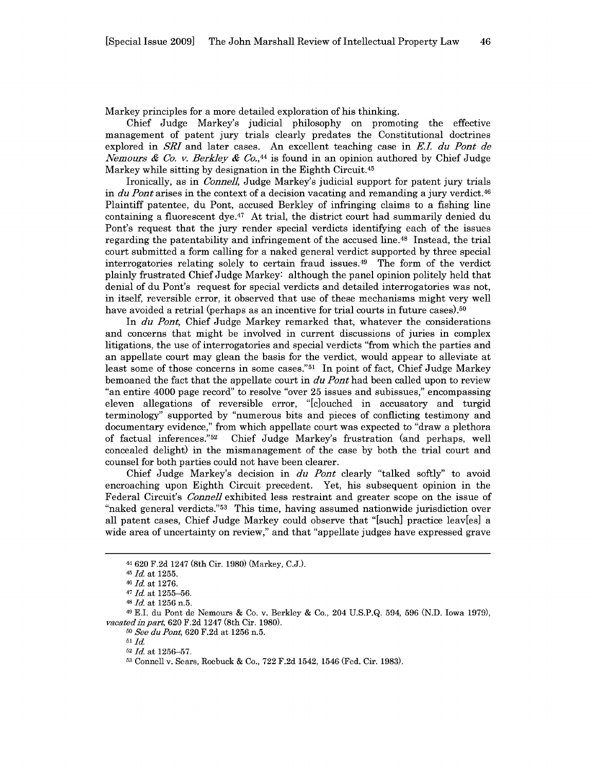Markey principles for a more detailed exploration of his thinking.

Chief Judge Markey's judicial philosophy on promoting the effective management of patent jury trials clearly predates the Constitutional doctrines explored in *SRI* and later cases. An excellent teaching case in *E.i. du Pont de Nemours & Co. v. Berkley & Co.,<sup>44</sup>*is found in an opinion authored by Chief Judge Markey while sitting by designation in the Eighth Circuit.<sup>45</sup>

Ironically, as in *Connell,* Judge Markey's judicial support for patent jury trials in *du Pont* arises in the context of a decision vacating and remanding a jury verdict.<sup>46</sup> Plaintiff patentee, du Pont, accused Berkley of infringing claims to a fishing line containing a fluorescent dye.<sup>47</sup> At trial, the district court had summarily denied du Pont's request that the jury render special verdicts identifying each of the issues regarding the patentability and infringement of the accused line. 48 Instead, the trial court submitted a form calling for a naked general verdict supported by three special interrogatories relating solely to certain fraud issues.49 The form of the verdict plainly frustrated Chief Judge Markey: although the panel opinion politely held that denial of du Pont's request for special verdicts and detailed interrogatories was not, in itself, reversible error, it observed that use of these mechanisms might very well have avoided a retrial (perhaps as an incentive for trial courts in future cases).<sup>50</sup>

In *du Pont,* Chief Judge Markey remarked that, whatever the considerations and concerns that might be involved in current discussions of juries in complex litigations, the use of interrogatories and special verdicts "from which the parties and an appellate court may glean the basis for the verdict, would appear to alleviate at least some of those concerns in some cases."<sup>51</sup> In point of fact, Chief Judge Markey bemoaned the fact that the appellate court in *du Pont* had been called upon to review "an entire 4000 page record" to resolve "over 25 issues and subissues," encompassing eleven allegations of reversible error, "[c]ouched in accusatory and turgid terminology" supported by "numerous bits and pieces of conflicting testimony and documentary evidence," from which appellate court was expected to "draw a plethora of factual inferences." 52 Chief Judge Markey's frustration (and perhaps, well concealed delight) in the mismanagement of the case by both the trial court and counsel for both parties could not have been clearer.

Chief Judge Markey's decision in *du Pont* clearly "talked softly" to avoid encroaching upon Eighth Circuit precedent. Yet, his subsequent opinion in the Federal Circuit's *Connell* exhibited less restraint and greater scope on the issue of "naked general verdicts."53 This time, having assumed nationwide jurisdiction over all patent cases, Chief Judge Markey could observe that "[such] practice leav[es] a wide area of uncertainty on review," and that "appellate judges have expressed grave

**49 E.I.** du Pont de Nemours & Co. v. Berkley & Co., 204 U.S.P.Q. 594, 596 (N.D. Iowa 1979), *vacated in part,* 620 F.2d 1247 (8th Cir. 1980).

**<sup>50</sup>***See duPont,* 620 F.2d at 1256 n.5.

**<sup>44</sup>**620 F.2d 1247 (8th Cir. 1980) (Markey, C.J.).

*<sup>45</sup> Id.* at 1255.

**<sup>46</sup>***Id.* at 1276.

**<sup>47</sup>***Id.* at 1255-56.

**<sup>48</sup>***Id.* at 1256 n.5.

*<sup>51</sup>Id.*

**<sup>52</sup>***Id.* at 1256-57.

**<sup>53</sup>** Connell v. Sears, Roebuck & Co., 722 F.2d 1542, 1546 (Fed. Cir. 1983).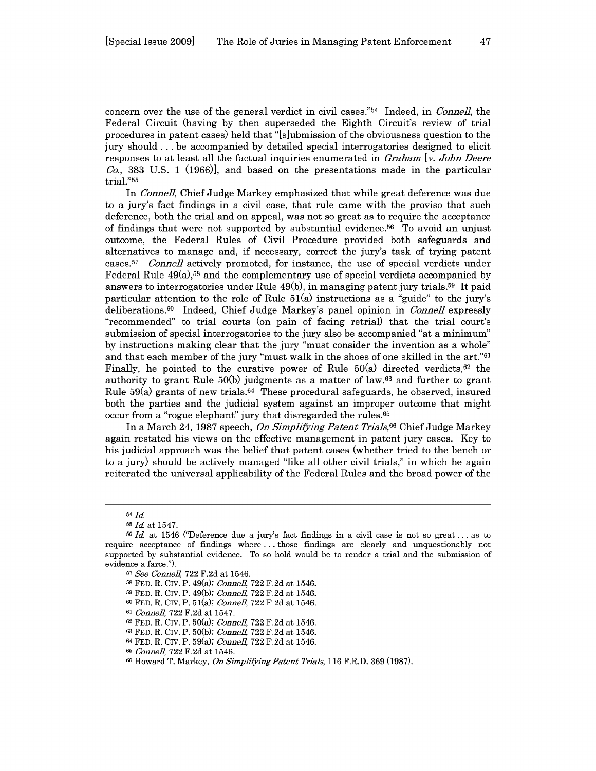concern over the use of the general verdict in civil cases."54 Indeed, in *Connell,* the Federal Circuit (having by then superseded the Eighth Circuit's review of trial procedures in patent cases) held that "[s]ubmission of the obviousness question to the jury should **...** be accompanied by detailed special interrogatories designed to elicit responses to at least all the factual inquiries enumerated in *Graham* [v. *John Deere*  $Co$ , 383 U.S. 1 (1966), and based on the presentations made in the particular trial."55

In *Conne]],* Chief Judge Markey emphasized that while great deference was due to a jury's fact findings in a civil case, that rule came with the proviso that such deference, both the trial and on appeal, was not so great as to require the acceptance of findings that were not supported by substantial evidence. 56 To avoid an unjust outcome, the Federal Rules of Civil Procedure provided both safeguards and alternatives to manage and, if necessary, correct the jury's task of trying patent cases.5 <sup>7</sup>*Conne]]* actively promoted, for instance, the use of special verdicts under Federal Rule  $49(a)$ ,<sup>58</sup> and the complementary use of special verdicts accompanied by answers to interrogatories under Rule 49(b), in managing patent jury trials.59 It paid particular attention to the role of Rule 51(a) instructions as a "guide" to the jury's deliberations.<sup>60</sup> Indeed, Chief Judge Markey's panel opinion in *Connell* expressly "recommended" to trial courts (on pain of facing retrial) that the trial court's submission of special interrogatories to the jury also be accompanied "at a minimum" by instructions making clear that the jury "must consider the invention as a whole" and that each member of the jury "must walk in the shoes of one skilled in the art."<sup>61</sup> Finally, he pointed to the curative power of Rule  $50(a)$  directed verdicts,<sup>62</sup> the authority to grant Rule  $50(b)$  judgments as a matter of law,<sup>63</sup> and further to grant Rule  $59(a)$  grants of new trials.<sup>64</sup> These procedural safeguards, he observed, insured both the parties and the judicial system against an improper outcome that might occur from a "rogue elephant" jury that disregarded the rules.<sup>65</sup>

In a March 24, 1987 speech, *On Simplifying Patent Trials,6 <sup>6</sup>*Chief Judge Markey again restated his views on the effective management in patent jury cases. Key to his judicial approach was the belief that patent cases (whether tried to the bench or to a jury) should be actively managed "like all other civil trials," in which he again reiterated the universal applicability of the Federal Rules and the broad power of the

<sup>54</sup> **Id**

**<sup>55</sup> Id** at 1547.

**<sup>56</sup>***Id.* at 1546 ("Deference due a jury's fact findings in a civil case is not so great... as to require acceptance of findings where **...** those findings are clearly and unquestionably not supported by substantial evidence. To so hold would be to render a trial and the submission of evidence a farce.").

**<sup>57</sup>***See Connell,* 722 F.2d at 1546.

**<sup>58</sup>**FED. R. Civ. P. 49(a); *Connel,* 722 F.2d at 1546.

**<sup>59</sup>**FED. R. CIv. P. 49(b); *Connell,* 722 F.2d at 1546.

**<sup>60</sup>**FED. R. Civ. P. 51(a); *Connel,* 722 F.2d at 1546.

**<sup>61</sup>***Connel,* 722 F.2d at 1547.

**<sup>62</sup>**FED. R. CIv. P. 50(a); *Connell,* 722 F.2d at 1546.

**<sup>63</sup>**FED. R. Civ. P. 50(b); *Connel,* 722 F.2d at 1546.

<sup>64</sup>FED. R. CIv. P. 59(a); *Connell,* 722 F.2d at 1546.

*<sup>65</sup>Connell,* 722 F.2d at 1546.

**<sup>66</sup>**Howard T. Markey, *On Simplifying Patent Trials,* 116 F.R.D. 369 (1987).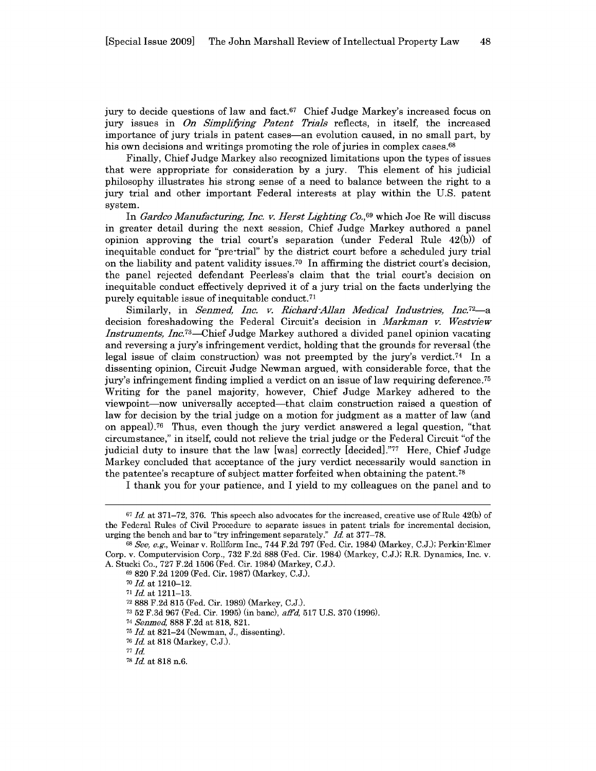jury to decide questions of law and fact. $67$  Chief Judge Markey's increased focus on jury issues in *On Simplifying Patent Trials* reflects, in itself, the increased importance of jury trials in patent cases-an evolution caused, in no small part, by his own decisions and writings promoting the role of juries in complex cases.<sup>68</sup>

Finally, Chief Judge Markey also recognized limitations upon the types of issues that were appropriate for consideration by a jury. This element of his judicial philosophy illustrates his strong sense of a need to balance between the right to a jury trial and other important Federal interests at play within the U.S. patent system.

In *Gardeo Manufacturing, Inc. v. Herst Lighting Co.*<sup>69</sup> which Joe Re will discuss in greater detail during the next session, Chief Judge Markey authored a panel opinion approving the trial court's separation (under Federal Rule 42(b)) of inequitable conduct for "pre-trial" by the district court before a scheduled jury trial on the liability and patent validity issues.<sup>70</sup> In affirming the district court's decision, the panel rejected defendant Peerless's claim that the trial court's decision on inequitable conduct effectively deprived it of a jury trial on the facts underlying the purely equitable issue of inequitable conduct. <sup>71</sup>

Similarly, in *Senmed, Inc. v. Richard-Allan Medical Industries, Inc.*<sup>72</sup> decision foreshadowing the Federal Circuit's decision in *Markman v. Westview Instruments, Inc.*<sup>73</sup>—Chief Judge Markey authored a divided panel opinion vacating and reversing a jury's infringement verdict, holding that the grounds for reversal (the legal issue of claim construction) was not preempted by the jury's verdict.<sup>74</sup> In a dissenting opinion, Circuit Judge Newman argued, with considerable force, that the jury's infringement finding implied a verdict on an issue of law requiring deference. <sup>75</sup> Writing for the panel majority, however, Chief Judge Markey adhered to the viewpoint-now universally accepted-that claim construction raised a question of law for decision by the trial judge on a motion for judgment as a matter of law (and on appeal).<sup>76</sup> Thus, even though the jury verdict answered a legal question, "that circumstance," in itself, could not relieve the trial judge or the Federal Circuit "of the judicial duty to insure that the law [was] correctly  $\left[\frac{\text{decided}}{\text{erbed}}\right]$ . Here, Chief Judge Markey concluded that acceptance of the jury verdict necessarily would sanction in the patentee's recapture of subject matter forfeited when obtaining the patent.78

I thank you for your patience, and I yield to my colleagues on the panel and to

<sup>74</sup>*Senmed,* 888 F.2d at 818, 821.

<sup>67</sup>*Id.* at 371-72, 376. This speech also advocates for the increased, creative use of Rule 42(b) of the Federal Rules of Civil Procedure to separate issues in patent trials for incremental decision, urging the bench and bar to "try infringement separately." *Id.* at 377-78.

<sup>68</sup>*See, e.g.,* Weinar v. Rollform Inc., 744 F.2d 797 (Fed. Cir. 1984) (Markey, C.J.); Perkin-Elmer Corp. v. Computervision Corp., 732 F.2d 888 (Fed. Cir. 1984) (Markey, C.J.); R.R. Dynamics, Inc. v. A. Stucki Co., 727 F.2d 1506 (Fed. Cir. 1984) (Markey, C.J.).

<sup>69</sup> 820 F.2d 1209 (Fed. Cir. 1987) (Markey, C.J.).

<sup>70</sup>*Id.* at 1210-12.

<sup>71</sup>Id. at **1211-13.**

**<sup>72</sup>**888 F.2d 815 (Fed. Cir. 1989) (Markey, C.J.).

**<sup>73</sup>** 52 F.3d 967 (Fed. Cir. 1995) (in banc), *aiTd,* 517 U.S. 370 (1996).

**<sup>75</sup>** *Id.* at 821-24 (Newman, J., dissenting).

**<sup>76</sup>***Id.* at 818 (Markey, C.J.).

**<sup>77</sup>***Id.*

<sup>78</sup> *Id.* at 818 n.6.